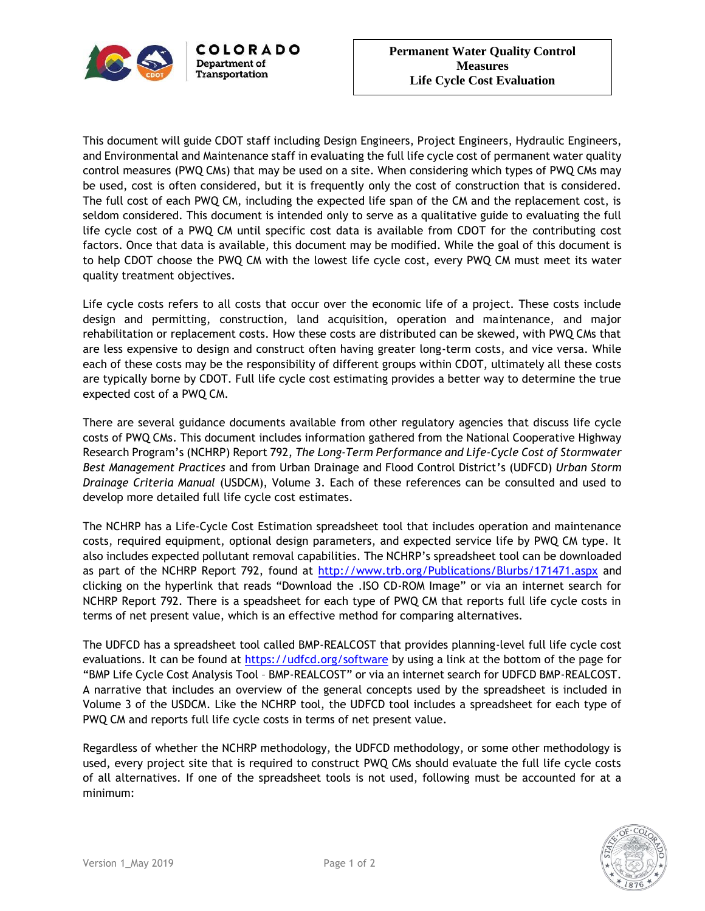

This document will guide CDOT staff including Design Engineers, Project Engineers, Hydraulic Engineers, and Environmental and Maintenance staff in evaluating the full life cycle cost of permanent water quality control measures (PWQ CMs) that may be used on a site. When considering which types of PWQ CMs may be used, cost is often considered, but it is frequently only the cost of construction that is considered. The full cost of each PWQ CM, including the expected life span of the CM and the replacement cost, is seldom considered. This document is intended only to serve as a qualitative guide to evaluating the full life cycle cost of a PWQ CM until specific cost data is available from CDOT for the contributing cost factors. Once that data is available, this document may be modified. While the goal of this document is to help CDOT choose the PWQ CM with the lowest life cycle cost, every PWQ CM must meet its water quality treatment objectives.

Life cycle costs refers to all costs that occur over the economic life of a project. These costs include design and permitting, construction, land acquisition, operation and maintenance, and major rehabilitation or replacement costs. How these costs are distributed can be skewed, with PWQ CMs that are less expensive to design and construct often having greater long-term costs, and vice versa. While each of these costs may be the responsibility of different groups within CDOT, ultimately all these costs are typically borne by CDOT. Full life cycle cost estimating provides a better way to determine the true expected cost of a PWQ CM.

There are several guidance documents available from other regulatory agencies that discuss life cycle costs of PWQ CMs. This document includes information gathered from the National Cooperative Highway Research Program's (NCHRP) Report 792, *The Long-Term Performance and Life-Cycle Cost of Stormwater Best Management Practices* and from Urban Drainage and Flood Control District's (UDFCD) *Urban Storm Drainage Criteria Manual* (USDCM), Volume 3. Each of these references can be consulted and used to develop more detailed full life cycle cost estimates.

The NCHRP has a Life-Cycle Cost Estimation spreadsheet tool that includes operation and maintenance costs, required equipment, optional design parameters, and expected service life by PWQ CM type. It also includes expected pollutant removal capabilities. The NCHRP's spreadsheet tool can be downloaded as part of the NCHRP Report 792, found at<http://www.trb.org/Publications/Blurbs/171471.aspx> and clicking on the hyperlink that reads "Download the .ISO CD-ROM Image" or via an internet search for NCHRP Report 792. There is a speadsheet for each type of PWQ CM that reports full life cycle costs in terms of net present value, which is an effective method for comparing alternatives.

The UDFCD has a spreadsheet tool called BMP-REALCOST that provides planning-level full life cycle cost evaluations. It can be found at<https://udfcd.org/software> by using a link at the bottom of the page for "BMP Life Cycle Cost Analysis Tool – BMP-REALCOST" or via an internet search for UDFCD BMP-REALCOST. A narrative that includes an overview of the general concepts used by the spreadsheet is included in Volume 3 of the USDCM. Like the NCHRP tool, the UDFCD tool includes a spreadsheet for each type of PWQ CM and reports full life cycle costs in terms of net present value.

Regardless of whether the NCHRP methodology, the UDFCD methodology, or some other methodology is used, every project site that is required to construct PWQ CMs should evaluate the full life cycle costs of all alternatives. If one of the spreadsheet tools is not used, following must be accounted for at a minimum: